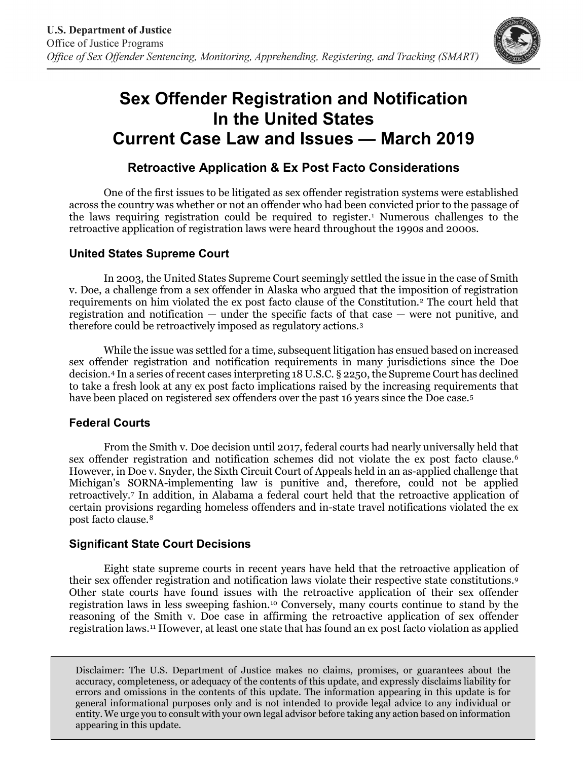

# **Sex Offender Registration and Notification In the United States Current Case Law and Issues — March 2019**

## **Retroactive Application & Ex Post Facto Considerations**

One of the first issues to be litigated as sex offender registration systems were established across the country was whether or not an offender who had been convicted prior to the passage of the laws requiring registration could be required to register.<sup>[1](#page-1-0)</sup> Numerous challenges to the retroactive application of registration laws were heard throughout the 1990s and 2000s.

### **United States Supreme Court**

In 2003, the United States Supreme Court seemingly settled the issue in the case of Smith v. Doe, a challenge from a sex offender in Alaska who argued that the imposition of registration requirements on him violated the ex post facto clause of the Constitution.[2](#page-1-1) The court held that registration and notification — under the specific facts of that case — were not punitive, and therefore could be retroactively imposed as regulatory actions.[3](#page-1-2)

While the issue was settled for a time, subsequent litigation has ensued based on increased sex offender registration and notification requirements in many jurisdictions since the Doe decision.[4](#page-1-3) In a series of recent cases interpreting 18 U.S.C. § 2250, the Supreme Court has declined to take a fresh look at any ex post facto implications raised by the increasing requirements that have been placed on registered sex offenders over the past 16 years since the Doe case.[5](#page-1-4)

### **Federal Courts**

From the Smith v. Doe decision until 2017, federal courts had nearly universally held that sex offender registration and notification schemes did not violate the ex post facto clause.<sup>[6](#page-1-5)</sup> However, in Doe v. Snyder, the Sixth Circuit Court of Appeals held in an as-applied challenge that Michigan's SORNA-implementing law is punitive and, therefore, could not be applied retroactively.[7](#page-1-6) In addition, in Alabama a federal court held that the retroactive application of certain provisions regarding homeless offenders and in-state travel notifications violated the ex post facto clause.[8](#page-1-7)

### **Significant State Court Decisions**

Eight state supreme courts in recent years have held that the retroactive application of their sex offender registration and notification laws violate their respective state constitutions.[9](#page-1-8) Other state courts have found issues with the retroactive application of their sex offender registration laws in less sweeping fashion.[10](#page-2-0) Conversely, many courts continue to stand by the reasoning of the Smith v. Doe case in affirming the retroactive application of sex offender registration laws.[11](#page-2-1) However, at least one state that has found an ex post facto violation as applied

Disclaimer: The U.S. Department of Justice makes no claims, promises, or guarantees about the accuracy, completeness, or adequacy of the contents of this update, and expressly disclaims liability for errors and omissions in the contents of this update. The information appearing in this update is for general informational purposes only and is not intended to provide legal advice to any individual or entity. We urge you to consult with your own legal advisor before taking any action based on information appearing in this update.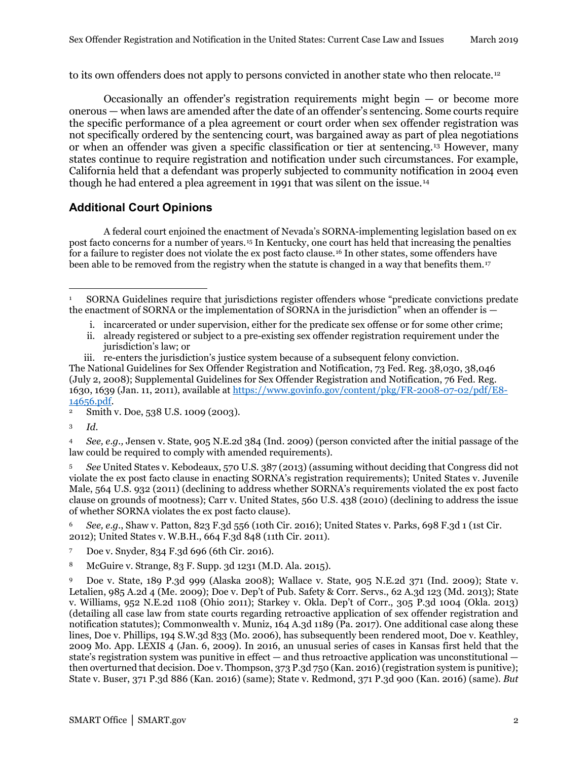to its own offenders does not apply to persons convicted in another state who then relocate.<sup>[12](#page-2-2)</sup>

Occasionally an offender's registration requirements might begin — or become more onerous — when laws are amended after the date of an offender's sentencing. Some courts require the specific performance of a plea agreement or court order when sex offender registration was not specifically ordered by the sentencing court, was bargained away as part of plea negotiations or when an offender was given a specific classification or tier at sentencing.[13](#page-2-3) However, many states continue to require registration and notification under such circumstances. For example, California held that a defendant was properly subjected to community notification in 2004 even though he had entered a plea agreement in 1991 that was silent on the issue.[14](#page-2-4)

### **Additional Court Opinions**

A federal court enjoined the enactment of Nevada's SORNA-implementing legislation based on ex post facto concerns for a number of years.[15](#page-2-5) In Kentucky, one court has held that increasing the penalties for a failure to register does not violate the ex post facto clause.[16](#page-2-6) In other states, some offenders have been able to be removed from the registry when the statute is changed in a way that benefits them.<sup>[17](#page-2-7)</sup>

- i. incarcerated or under supervision, either for the predicate sex offense or for some other crime;
- ii. already registered or subject to a pre-existing sex offender registration requirement under the jurisdiction's law; or
- iii. re-enters the jurisdiction's justice system because of a subsequent felony conviction.

The National Guidelines for Sex Offender Registration and Notification, 73 Fed. Reg. 38,030, 38,046 (July 2, 2008); Supplemental Guidelines for Sex Offender Registration and Notification, 76 Fed. Reg. 1630, 1639 (Jan. 11, 2011), available a[t https://www.govinfo.gov/content/pkg/FR-2008-07-02/pdf/E8-](https://www.govinfo.gov/content/pkg/FR-2008-07-02/pdf/E8-14656.pdf)  $\frac{14656. \text{pdf}}{2 \text{ Smith}}$ 

<span id="page-1-2"></span><sup>3</sup> *Id.*

<span id="page-1-3"></span><sup>4</sup> *See, e.g.,* Jensen v. State, 905 N.E.2d 384 (Ind. 2009) (person convicted after the initial passage of the law could be required to comply with amended requirements).

<span id="page-1-4"></span><sup>5</sup> *See* United States v. Kebodeaux, 570 U.S. 387 (2013) (assuming without deciding that Congress did not violate the ex post facto clause in enacting SORNA's registration requirements); United States v. Juvenile Male, 564 U.S. 932 (2011) (declining to address whether SORNA's requirements violated the ex post facto clause on grounds of mootness); Carr v. United States, 560 U.S. 438 (2010) (declining to address the issue of whether SORNA violates the ex post facto clause).

<span id="page-1-5"></span><sup>6</sup> *See, e.g.*, Shaw v. Patton, 823 F.3d 556 (10th Cir. 2016); United States v. Parks, 698 F.3d 1 (1st Cir. 2012); United States v. W.B.H., 664 F.3d 848 (11th Cir. 2011).

- <span id="page-1-6"></span><sup>7</sup> Doe v. Snyder, 834 F.3d 696 (6th Cir. 2016).
- <span id="page-1-7"></span>8 McGuire v. Strange, 83 F. Supp. 3d 1231 (M.D. Ala. 2015).

<span id="page-1-8"></span><sup>9</sup> Doe v. State, 189 P.3d 999 (Alaska 2008); Wallace v. State, 905 N.E.2d 371 (Ind. 2009); State v. Letalien, 985 A.2d 4 (Me. 2009); Doe v. Dep't of Pub. Safety & Corr. Servs., 62 A.3d 123 (Md. 2013); State v. Williams, 952 N.E.2d 1108 (Ohio 2011); Starkey v. Okla. Dep't of Corr., 305 P.3d 1004 (Okla. 2013) (detailing all case law from state courts regarding retroactive application of sex offender registration and notification statutes); Commonwealth v. Muniz, 164 A.3d 1189 (Pa. 2017). One additional case along these lines, Doe v. Phillips, 194 S.W.3d 833 (Mo. 2006), has subsequently been rendered moot, Doe v. Keathley, 2009 Mo. App. LEXIS 4 (Jan. 6, 2009). In 2016, an unusual series of cases in Kansas first held that the state's registration system was punitive in effect — and thus retroactive application was unconstitutional then overturned that decision. Doe v. Thompson, 373 P.3d 750 (Kan. 2016) (registration system is punitive); State v. Buser, 371 P.3d 886 (Kan. 2016) (same); State v. Redmond, 371 P.3d 900 (Kan. 2016) (same). *But* 

<span id="page-1-0"></span><sup>1</sup> SORNA Guidelines require that jurisdictions register offenders whose "predicate convictions predate the enactment of SORNA or the implementation of SORNA in the jurisdiction" when an offender is —  $\overline{a}$ 

<span id="page-1-1"></span><sup>2</sup> Smith v. Doe, 538 U.S. 1009 (2003).